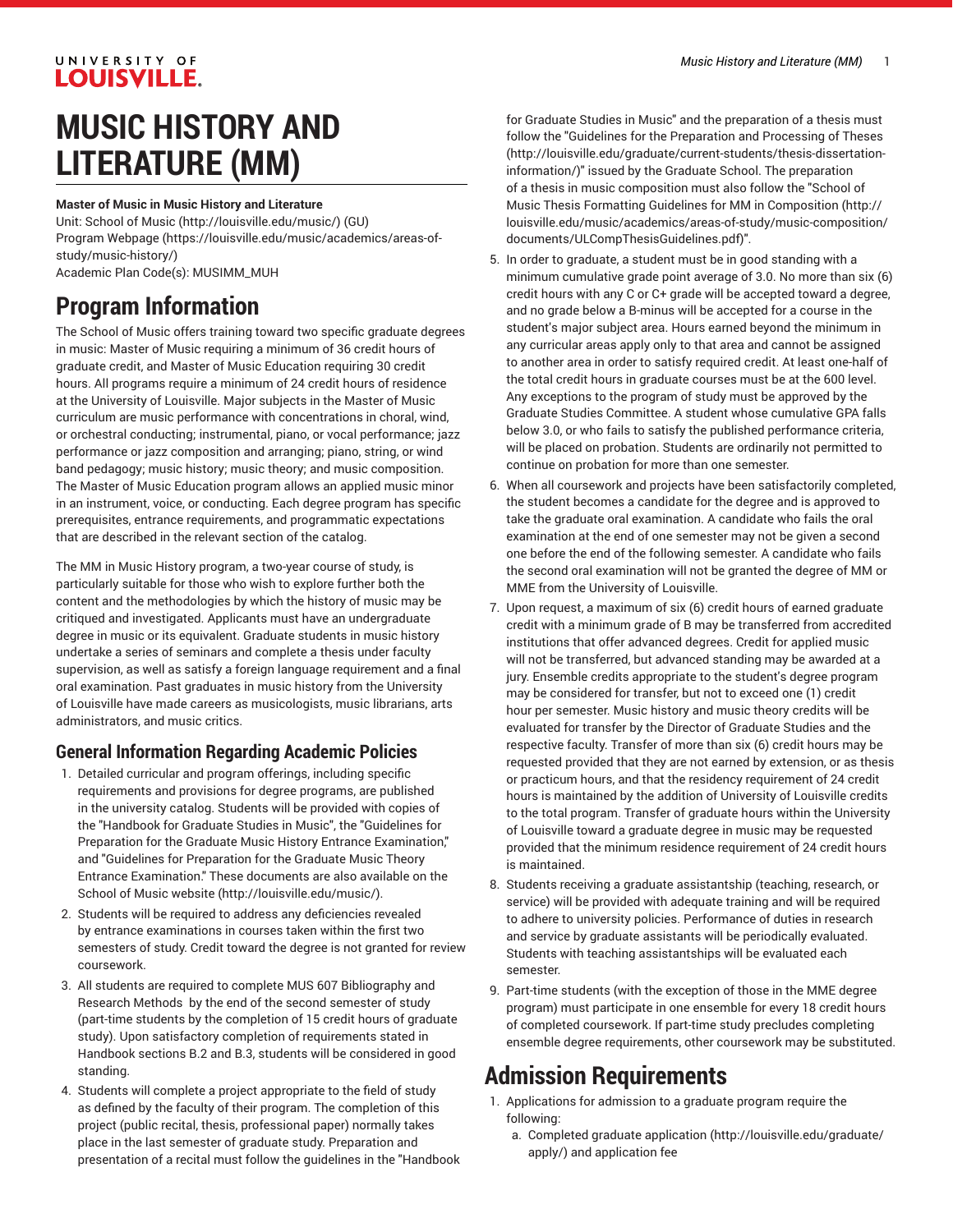### UNIVERSITY OF **LOUISVILLE.**

# **MUSIC HISTORY AND LITERATURE (MM)**

#### **Master of Music in Music History and Literature**

Unit: [School of Music \(http://louisville.edu/music/](http://louisville.edu/music/)) (GU) Program [Webpage](https://louisville.edu/music/academics/areas-of-study/music-history/) [\(https://louisville.edu/music/academics/areas-of](https://louisville.edu/music/academics/areas-of-study/music-history/)[study/music-history/\)](https://louisville.edu/music/academics/areas-of-study/music-history/) Academic Plan Code(s): MUSIMM\_MUH

# **Program Information**

The School of Music offers training toward two specific graduate degrees in music: Master of Music requiring a minimum of 36 credit hours of graduate credit, and Master of Music Education requiring 30 credit hours. All programs require a minimum of 24 credit hours of residence at the University of Louisville. Major subjects in the Master of Music curriculum are music performance with concentrations in choral, wind, or orchestral conducting; instrumental, piano, or vocal performance; jazz performance or jazz composition and arranging; piano, string, or wind band pedagogy; music history; music theory; and music composition. The Master of Music Education program allows an applied music minor in an instrument, voice, or conducting. Each degree program has specific prerequisites, entrance requirements, and programmatic expectations that are described in the relevant section of the catalog.

The MM in Music History program, a two-year course of study, is particularly suitable for those who wish to explore further both the content and the methodologies by which the history of music may be critiqued and investigated. Applicants must have an undergraduate degree in music or its equivalent. Graduate students in music history undertake a series of seminars and complete a thesis under faculty supervision, as well as satisfy a foreign language requirement and a final oral examination. Past graduates in music history from the University of Louisville have made careers as musicologists, music librarians, arts administrators, and music critics.

### **General Information Regarding Academic Policies**

- 1. Detailed curricular and program offerings, including specific requirements and provisions for degree programs, are published in the university catalog. Students will be provided with copies of the "Handbook for Graduate Studies in Music", the "Guidelines for Preparation for the Graduate Music History Entrance Examination," and "Guidelines for Preparation for the Graduate Music Theory Entrance Examination." These documents are also available on the [School of Music website](http://louisville.edu/music/) ([http://louisville.edu/music/\)](http://louisville.edu/music/).
- 2. Students will be required to address any deficiencies revealed by entrance examinations in courses taken within the first two semesters of study. Credit toward the degree is not granted for review coursework.
- 3. All students are required to complete MUS 607 Bibliography and Research Methods by the end of the second semester of study (part-time students by the completion of 15 credit hours of graduate study). Upon satisfactory completion of requirements stated in Handbook sections B.2 and B.3, students will be considered in good standing.
- 4. Students will complete a project appropriate to the field of study as defined by the faculty of their program. The completion of this project (public recital, thesis, professional paper) normally takes place in the last semester of graduate study. Preparation and presentation of a recital must follow the guidelines in the "Handbook

for Graduate Studies in Music" and the preparation of a thesis must follow the "Guidelines for the [Preparation](http://louisville.edu/graduate/current-students/thesis-dissertation-information/) and Processing of Theses [\(http://louisville.edu/graduate/current-students/thesis-dissertation](http://louisville.edu/graduate/current-students/thesis-dissertation-information/)[information/\)](http://louisville.edu/graduate/current-students/thesis-dissertation-information/)" issued by the Graduate School. The preparation of a thesis in music composition must also follow the "[School of](http://louisville.edu/music/academics/areas-of-study/music-composition/documents/ULCompThesisGuidelines.pdf) Music Thesis Formatting Guidelines for MM in [Composition](http://louisville.edu/music/academics/areas-of-study/music-composition/documents/ULCompThesisGuidelines.pdf) ([http://](http://louisville.edu/music/academics/areas-of-study/music-composition/documents/ULCompThesisGuidelines.pdf) [louisville.edu/music/academics/areas-of-study/music-composition/](http://louisville.edu/music/academics/areas-of-study/music-composition/documents/ULCompThesisGuidelines.pdf) [documents/ULCompThesisGuidelines.pdf\)](http://louisville.edu/music/academics/areas-of-study/music-composition/documents/ULCompThesisGuidelines.pdf)".

- 5. In order to graduate, a student must be in good standing with a minimum cumulative grade point average of 3.0. No more than six (6) credit hours with any C or C+ grade will be accepted toward a degree, and no grade below a B-minus will be accepted for a course in the student's major subject area. Hours earned beyond the minimum in any curricular areas apply only to that area and cannot be assigned to another area in order to satisfy required credit. At least one-half of the total credit hours in graduate courses must be at the 600 level. Any exceptions to the program of study must be approved by the Graduate Studies Committee. A student whose cumulative GPA falls below 3.0, or who fails to satisfy the published performance criteria, will be placed on probation. Students are ordinarily not permitted to continue on probation for more than one semester.
- 6. When all coursework and projects have been satisfactorily completed, the student becomes a candidate for the degree and is approved to take the graduate oral examination. A candidate who fails the oral examination at the end of one semester may not be given a second one before the end of the following semester. A candidate who fails the second oral examination will not be granted the degree of MM or MME from the University of Louisville.
- 7. Upon request, a maximum of six (6) credit hours of earned graduate credit with a minimum grade of B may be transferred from accredited institutions that offer advanced degrees. Credit for applied music will not be transferred, but advanced standing may be awarded at a jury. Ensemble credits appropriate to the student's degree program may be considered for transfer, but not to exceed one (1) credit hour per semester. Music history and music theory credits will be evaluated for transfer by the Director of Graduate Studies and the respective faculty. Transfer of more than six (6) credit hours may be requested provided that they are not earned by extension, or as thesis or practicum hours, and that the residency requirement of 24 credit hours is maintained by the addition of University of Louisville credits to the total program. Transfer of graduate hours within the University of Louisville toward a graduate degree in music may be requested provided that the minimum residence requirement of 24 credit hours is maintained.
- 8. Students receiving a graduate assistantship (teaching, research, or service) will be provided with adequate training and will be required to adhere to university policies. Performance of duties in research and service by graduate assistants will be periodically evaluated. Students with teaching assistantships will be evaluated each semester.
- 9. Part-time students (with the exception of those in the MME degree program) must participate in one ensemble for every 18 credit hours of completed coursework. If part-time study precludes completing ensemble degree requirements, other coursework may be substituted.

# **Admission Requirements**

- 1. Applications for admission to a graduate program require the following:
	- a. [Completed graduate application](http://louisville.edu/graduate/apply/) [\(http://louisville.edu/graduate/](http://louisville.edu/graduate/apply/) [apply/](http://louisville.edu/graduate/apply/)) and application fee